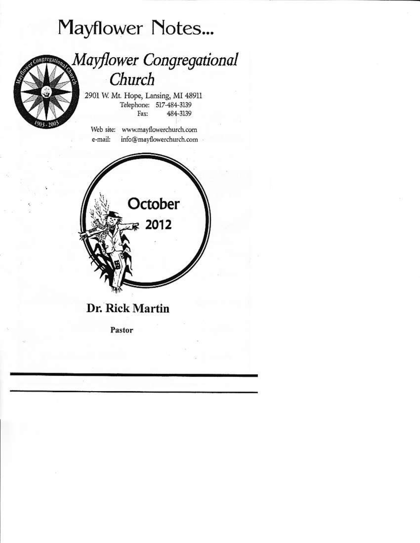# **Mayflower Notes...**



# Mayflower Congregational Church

2901 W. Mt. Hope, Lansing, MI 48911 Telephone: 517-484-3139 484-3139 Fax:

Web site: www.mavflowerchurch.com e-mail: info@mayflowerchurch.com



Dr. Rick Martin

Pastor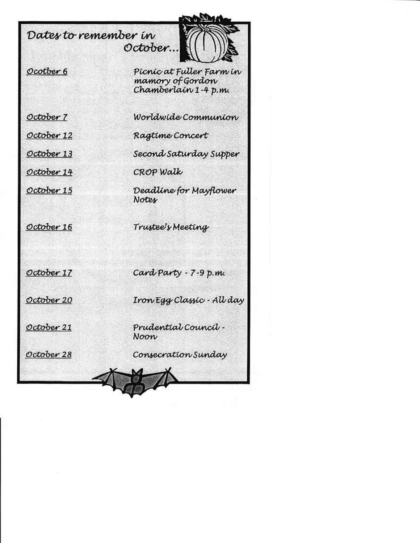### Dates to remember in October...



### Ocotber 6

Picnic at Fuller Farm in mamory of Gordon Chamberlain 1-4 p.m.

October 7

October 12

October 13

October 14

October 15

October 16

Worldwide Communion

Ragtime Concert

Second Saturday Supper

CROP Walk

Deadline for Mayflower Notes.

Trustee's Meeting

October 17

Card Party - 7-9 p.m.

October 20

Iron Egg Classic - All day

October 21

October 28

Prudential Council -Noon

Consecration Sunday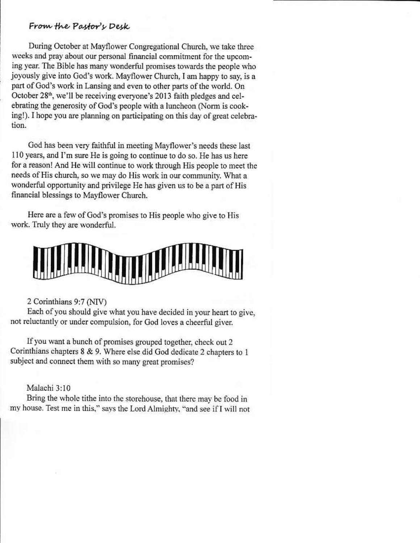### From the Pastor's Desk

During October at Mayflower Congregational Church, we take three weeks and pray about our personal financial commitment for the upcoming year. The Bible has many wonderful promises towards the people who joyously give into God's work. Mayflower Church, I am happy to say, is a part of God's work in Lansing and even to other parts of the world. On October 28<sup>th</sup>, we'll be receiving everyone's 2013 faith pledges and celebrating the generosity of God's people with a luncheon (Norm is cooking!). I hope you are planning on participating on this day of great celebration.

God has been very faithful in meeting Mayflower's needs these last 110 years, and I'm sure He is going to continue to do so. He has us here for a reason! And He will continue to work through His people to meet the needs of His church, so we may do His work in our community. What a wonderful opportunity and privilege He has given us to be a part of His financial blessings to Mayflower Church.

Here are a few of God's promises to His people who give to His work. Truly they are wonderful.



### 2 Corinthians 9:7 (NIV)

Each of you should give what you have decided in your heart to give, not reluctantly or under compulsion, for God loves a cheerful giver.

If you want a bunch of promises grouped together, check out 2 Corinthians chapters 8 & 9. Where else did God dedicate 2 chapters to 1 subject and connect them with so many great promises?

### Malachi 3:10

Bring the whole tithe into the storehouse, that there may be food in my house. Test me in this," says the Lord Almighty, "and see if I will not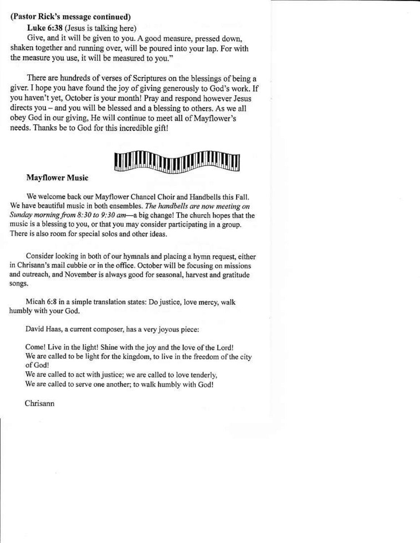### (Pastor Rick's message continued)

### Luke 6:38 (Jesus is talking here)

Give, and it will be given to you. A good measure, pressed down, shaken together and running over, will be poured into your lap. For with the measure you use, it will be measured to you."

There are hundreds of verses of Scriptures on the blessings of being a giver. I hope you have found the joy of giving generously to God's work. If you haven't yet, October is your month! Pray and respond however Jesus directs you - and you will be blessed and a blessing to others. As we all obey God in our giving, He will continue to meet all of Mayflower's needs. Thanks be to God for this incredible gift!

### **Mayflower Music**

We welcome back our Mayflower Chancel Choir and Handbells this Fall. We have beautiful music in both ensembles. The handbells are now meeting on Sunday morning from 8:30 to 9:30 am—a big change! The church hopes that the music is a blessing to you, or that you may consider participating in a group. There is also room for special solos and other ideas.

Consider looking in both of our hymnals and placing a hymn request, either in Chrisann's mail cubbie or in the office. October will be focusing on missions and outreach, and November is always good for seasonal, harvest and gratitude songs.

Micah 6:8 in a simple translation states: Do justice, love mercy, walk humbly with your God.

David Haas, a current composer, has a very joyous piece:

Come! Live in the light! Shine with the joy and the love of the Lord! We are called to be light for the kingdom, to live in the freedom of the city of God!

We are called to act with justice; we are called to love tenderly, We are called to serve one another; to walk humbly with God!

Chrisann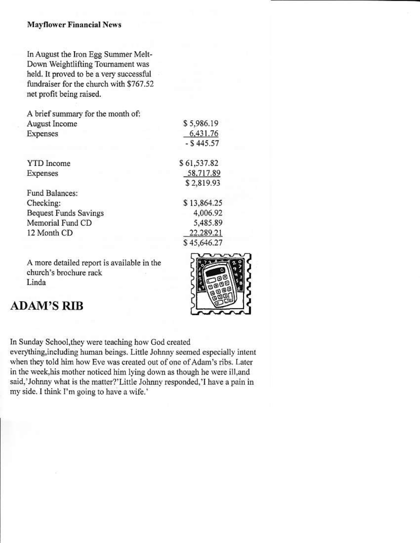### **Mayflower Financial News**

In August the Iron Egg Summer Melt-Down Weightlifting Tournament was held. It proved to be a very successful fundraiser for the church with \$767.52 net profit being raised.

A brief summary for the month of: August Income Expenses

**YTD** Income Expenses

Fund Balances: Checking: **Bequest Funds Savings** Memorial Fund CD 12 Month CD

A more detailed report is available in the church's brochure rack Linda

## **ADAM'S RIB**



\$5,986.19 6.431.76

 $-$  \$445.57

\$61,537.82

58.717.89 \$2,819.93

\$13,864.25

4,006.92

5.485.89

22.289.21 \$45,646.27

In Sunday School, they were teaching how God created everything, including human beings. Little Johnny seemed especially intent when they told him how Eve was created out of one of Adam's ribs. Later in the week, his mother noticed him lying down as though he were ill, and said,'Johnny what is the matter?'Little Johnny responded,'I have a pain in my side. I think I'm going to have a wife.'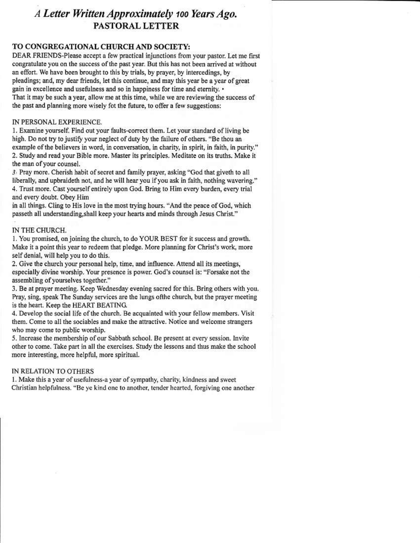## A Letter Written Approximately 100 Years Ago. PASTORAL LETTER

### TO CONGREGATIONAL CHURCH AND SOCIETY:

DEAR FRIENDS-Please accept a few practical injunctions from your pastor. Let me first congratulate you on the success of the past year. But this has not been arrived at without an effort. We have been brought to this by trials, by prayer, by intercedings, by pleadings; and, my dear friends, let this continue, and may this year be a year of great gain in excellence and usefulness and so in happiness for time and eternity. • That it may be such a year, allow me at this time, while we are reviewing the success of the past and planning more wisely fot the future, to offer a few suggestions:

#### IN PERSONAL EXPERIENCE.

1. Examine yourself. Find out your faults-correct them. Let your standard of living be high. Do not try to justify your neglect of duty by the failure of others. "Be thou an example of the believers in word, in conversation, in charity, in spirit, in faith, in purity." 2. Study and read your Bible more. Master its principles. Meditate on its truths. Make it the man of your counsel.

3. Pray more. Cherish habit of secret and family prayer, asking "God that giveth to all liberally, and upbraideth not, and he will hear you if you ask in faith, nothing wavering." 4. Trust more. Cast yourself entirely upon God. Bring to Him every burden, every trial and every doubt. Obey Him

in all things. Cling to His love in the most trying hours. "And the peace of God, which passeth all understanding, shall keep your hearts and minds through Jesus Christ."

### IN THE CHURCH.

1. You promised, on joining the church, to do YOUR BEST for it success and growth. Make it a point this year to redeem that pledge. More planning for Christ's work, more self denial, will help you to do this.

2. Give the church your personal help, time, and influence. Attend all its meetings, especially divine worship. Your presence is power. God's counsel is: "Forsake not the assembling of yourselves together."

3. Be at prayer meeting. Keep Wednesday evening sacred for this. Bring others with you. Pray, sing, speak The Sunday services are the lungs of the church, but the prayer meeting is the heart. Keep the HEART BEATING.

4. Develop the social life of the church. Be acquainted with your fellow members. Visit them. Come to all the sociables and make the attractive. Notice and welcome strangers who may come to public worship.

5. Increase the membership of our Sabbath school. Be present at every session. Invite other to come. Take part in all the exercises. Study the lessons and thus make the school more interesting, more helpful, more spiritual.

#### IN RELATION TO OTHERS

1. Make this a year of usefulness-a year of sympathy, charity, kindness and sweet Christian helpfulness. "Be ye kind one to another, tender hearted, forgiving one another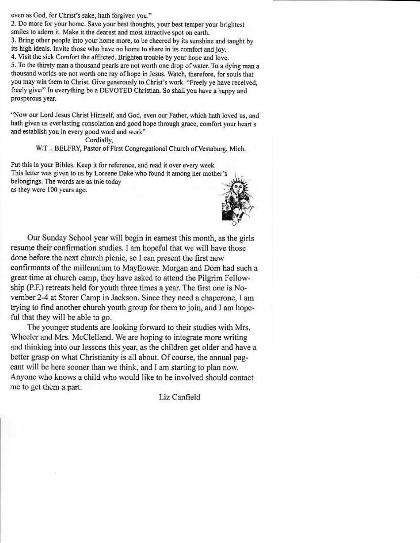even as God, for Christ's sake, hath forgiven you."

2. Do more for your home. Save your best thoughts, your best temper your brightest smiles to adorn it. Make it the dearest and most attractive spot on earth.

3. Bring other people into your home more, to be cheered by its sunshine and taught by its high ideals. Invite those who have no home to share in its comfort and joy.

4. Visit the sick Comfort the afflicted. Brighten trouble by your hope and love.

5. To the thirsty man a thousand pearls are not worth one drop of water. To a dying man a thousand worlds are not worth one ray of hope in Jesus. Watch, therefore, for souls that you may win them to Christ. Give generously to Christ's work. "Freely ye have received, freely give/" In everything be a DEVOTED Christian. So shall you have a happy and prosperous year.

"Now our Lord Jesus Christ Himself, and God, even our Father, which hath loved us, and hath given us everlasting consolation and good hope through grace, comfort your heart s and establish you in every good word and work"

Cordially,

W.T., BELFRY, Pastor of First Congregational Church of Vestaburg, Mich.

Put this in your Bibles. Keep it for reference, and read it over every week This letter was given to us by Loreene Dake who found it among her mother's belongings. The words are as tnie today as they were 100 years ago.



Our Sunday School year will begin in earnest this month, as the girls resume their confirmation studies. I am hopeful that we will have those done before the next church picnic, so I can present the first new confirmants of the millennium to Mayflower. Morgan and Dom had such a great time at church camp, they have asked to attend the Pilgrim Fellowship (P.F.) retreats held for youth three times a year. The first one is November 2-4 at Storer Camp in Jackson. Since they need a chaperone, I am trying to find another church youth group for them to join, and I am hopeful that they will be able to go.

The younger students are looking forward to their studies with Mrs. Wheeler and Mrs. McClelland. We are hoping to integrate more writing and thinking into our lessons this year, as the children get older and have a better grasp on what Christianity is all about. Of course, the annual pageant will be here sooner than we think, and I am starting to plan now. Anyone who knows a child who would like to be involved should contact me to get them a part.

Liz Canfield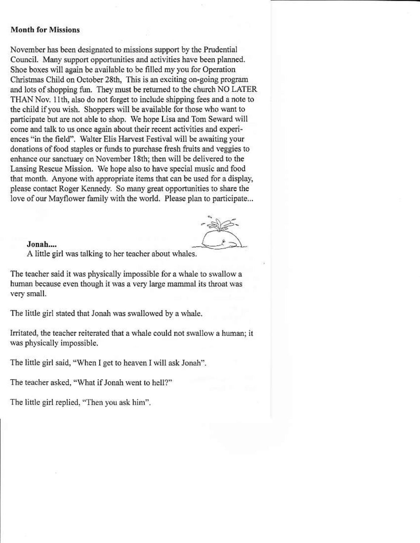### **Month for Missions**

November has been designated to missions support by the Prudential Council. Many support opportunities and activities have been planned. Shoe boxes will again be available to be filled my you for Operation Christmas Child on October 28th, This is an exciting on-going program and lots of shopping fun. They must be returned to the church NO LATER THAN Nov. 11th, also do not forget to include shipping fees and a note to the child if you wish. Shoppers will be available for those who want to participate but are not able to shop. We hope Lisa and Tom Seward will come and talk to us once again about their recent activities and experiences "in the field". Walter Elis Harvest Festival will be awaiting your donations of food staples or funds to purchase fresh fruits and veggies to enhance our sanctuary on November 18th; then will be delivered to the Lansing Rescue Mission. We hope also to have special music and food that month. Anyone with appropriate items that can be used for a display, please contact Roger Kennedy. So many great opportunities to share the love of our Mayflower family with the world. Please plan to participate...

#### Jonah....

A little girl was talking to her teacher about whales.

The teacher said it was physically impossible for a whale to swallow a human because even though it was a very large mammal its throat was very small.

The little girl stated that Jonah was swallowed by a whale.

Irritated, the teacher reiterated that a whale could not swallow a human; it was physically impossible.

The little girl said, "When I get to heaven I will ask Jonah".

The teacher asked, "What if Jonah went to hell?"

The little girl replied, "Then you ask him".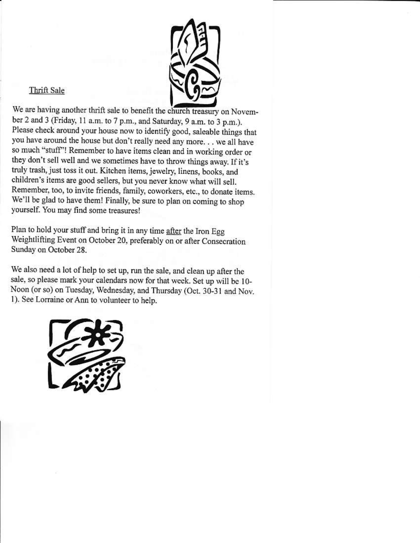

### Thrift Sale

We are having another thrift sale to benefit the church treasury on November 2 and 3 (Friday, 11 a.m. to 7 p.m., and Saturday, 9 a.m. to 3 p.m.). Please check around your house now to identify good, saleable things that you have around the house but don't really need any more... we all have so much "stuff"! Remember to have items clean and in working order or they don't sell well and we sometimes have to throw things away. If it's truly trash, just toss it out. Kitchen items, jewelry, linens, books, and children's items are good sellers, but you never know what will sell. Remember, too, to invite friends, family, coworkers, etc., to donate items. We'll be glad to have them! Finally, be sure to plan on coming to shop yourself. You may find some treasures!

Plan to hold your stuff and bring it in any time after the Iron Egg Weightlifting Event on October 20, preferably on or after Consecration Sunday on October 28.

We also need a lot of help to set up, run the sale, and clean up after the sale, so please mark your calendars now for that week. Set up will be 10-Noon (or so) on Tuesday, Wednesday, and Thursday (Oct. 30-31 and Nov. 1). See Lorraine or Ann to volunteer to help.

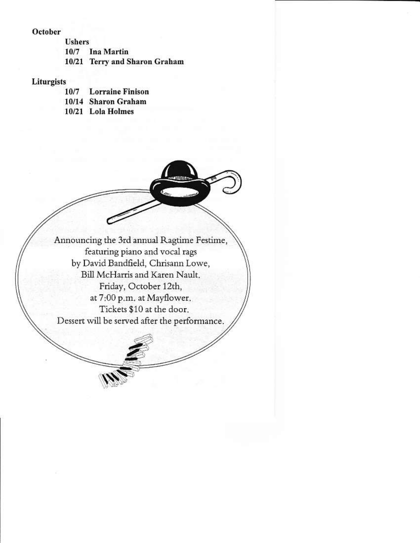### October

**Ushers** 10/7 **Ina Martin** 10/21 Terry and Sharon Graham

### Liturgists

- **Lorraine Finison** 10/7
- 10/14 Sharon Graham
- 10/21 Lola Holmes

Announcing the 3rd annual Ragtime Festime, featuring piano and vocal rags by David Bandfield, Chrisann Lowe, Bill McHarris and Karen Nault. Friday, October 12th, at 7:00 p.m. at Mayflower. Tickets \$10 at the door. Dessert will be served after the performance.